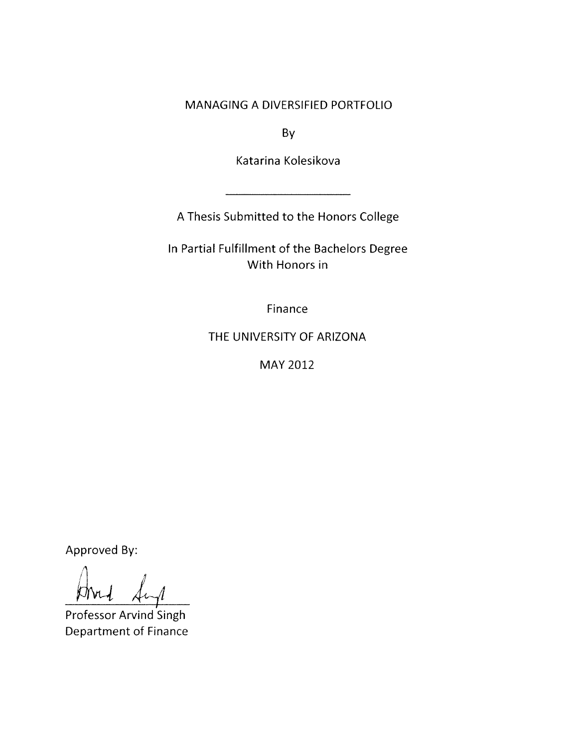MANAGING A DIVERSIFIED PORTFOLIO

By

Katarina Kolesikova

A Thesis Submitted to the Honors College

In Partial Fulfillment of the Bachelors Degree With Honors in

Finance

THE UNIVERSITY OF ARIZONA

MAY 2012

Approved By:

Professor Arvind Singh Department of Finance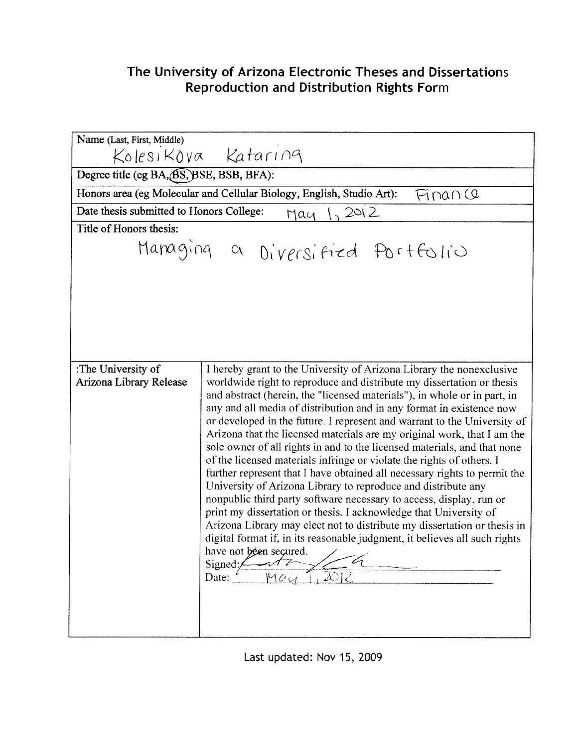## The University of Arizona Electronic Theses and Dissertations Reproduction and Distribution Rights Form

| Name (Last, First, Middle)                                                       |                                                                                                                                                                                                                                                                                                                                                                                                                                                                                                                                                                                                                                                                                                                                                                                                                                                                                                                                                                                                                                                                                                                                         |
|----------------------------------------------------------------------------------|-----------------------------------------------------------------------------------------------------------------------------------------------------------------------------------------------------------------------------------------------------------------------------------------------------------------------------------------------------------------------------------------------------------------------------------------------------------------------------------------------------------------------------------------------------------------------------------------------------------------------------------------------------------------------------------------------------------------------------------------------------------------------------------------------------------------------------------------------------------------------------------------------------------------------------------------------------------------------------------------------------------------------------------------------------------------------------------------------------------------------------------------|
|                                                                                  | Kolesikova Kataring                                                                                                                                                                                                                                                                                                                                                                                                                                                                                                                                                                                                                                                                                                                                                                                                                                                                                                                                                                                                                                                                                                                     |
| Degree title (eg BA, BS, BSE, BSB, BFA):                                         |                                                                                                                                                                                                                                                                                                                                                                                                                                                                                                                                                                                                                                                                                                                                                                                                                                                                                                                                                                                                                                                                                                                                         |
| Honors area (eg Molecular and Cellular Biology, English, Studio Art):<br>Finance |                                                                                                                                                                                                                                                                                                                                                                                                                                                                                                                                                                                                                                                                                                                                                                                                                                                                                                                                                                                                                                                                                                                                         |
| Date thesis submitted to Honors College:<br>2012<br>$M$ ay                       |                                                                                                                                                                                                                                                                                                                                                                                                                                                                                                                                                                                                                                                                                                                                                                                                                                                                                                                                                                                                                                                                                                                                         |
| Title of Honors thesis:                                                          |                                                                                                                                                                                                                                                                                                                                                                                                                                                                                                                                                                                                                                                                                                                                                                                                                                                                                                                                                                                                                                                                                                                                         |
| Managing a Diversified Portfolio                                                 |                                                                                                                                                                                                                                                                                                                                                                                                                                                                                                                                                                                                                                                                                                                                                                                                                                                                                                                                                                                                                                                                                                                                         |
| :The University of<br>Arizona Library Release                                    | I hereby grant to the University of Arizona Library the nonexclusive<br>worldwide right to reproduce and distribute my dissertation or thesis<br>and abstract (herein, the "licensed materials"), in whole or in part, in<br>any and all media of distribution and in any format in existence now<br>or developed in the future. I represent and warrant to the University of<br>Arizona that the licensed materials are my original work, that I am the<br>sole owner of all rights in and to the licensed materials, and that none<br>of the licensed materials infringe or violate the rights of others. I<br>further represent that I have obtained all necessary rights to permit the<br>University of Arizona Library to reproduce and distribute any<br>nonpublic third party software necessary to access, display, run or<br>print my dissertation or thesis. I acknowledge that University of<br>Arizona Library may elect not to distribute my dissertation or thesis in<br>digital format if, in its reasonable judgment, it believes all such rights<br>have not been secured. $\angle$<br>Signed:<br>Date:<br>201.<br>Мац |

Last updated: Nov 15, 2009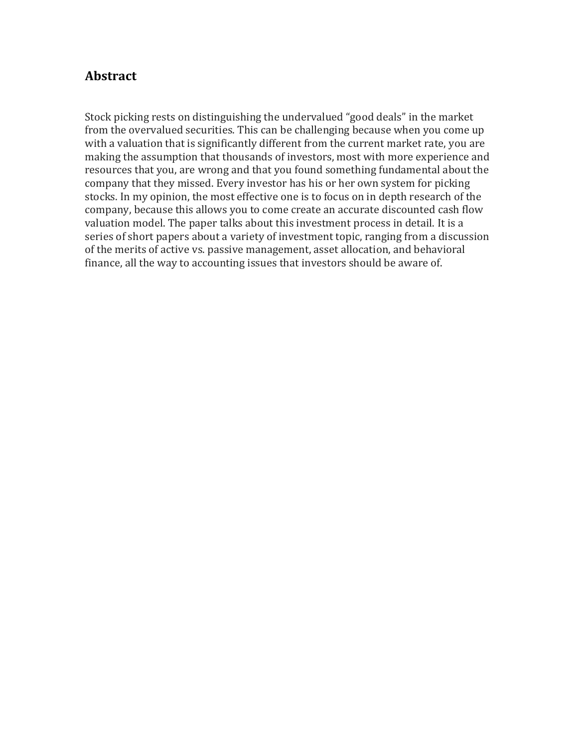## **Abstract**

Stock picking rests on distinguishing the undervalued "good deals" in the market from the overvalued securities. This can be challenging because when you come up with a valuation that is significantly different from the current market rate, you are making the assumption that thousands of investors, most with more experience and resources that you, are wrong and that you found something fundamental about the company that they missed. Every investor has his or her own system for picking stocks. In my opinion, the most effective one is to focus on in depth research of the company, because this allows you to come create an accurate discounted cash flow valuation model. The paper talks about this investment process in detail. It is a series of short papers about a variety of investment topic, ranging from a discussion of the merits of active vs. passive management, asset allocation, and behavioral finance, all the way to accounting issues that investors should be aware of.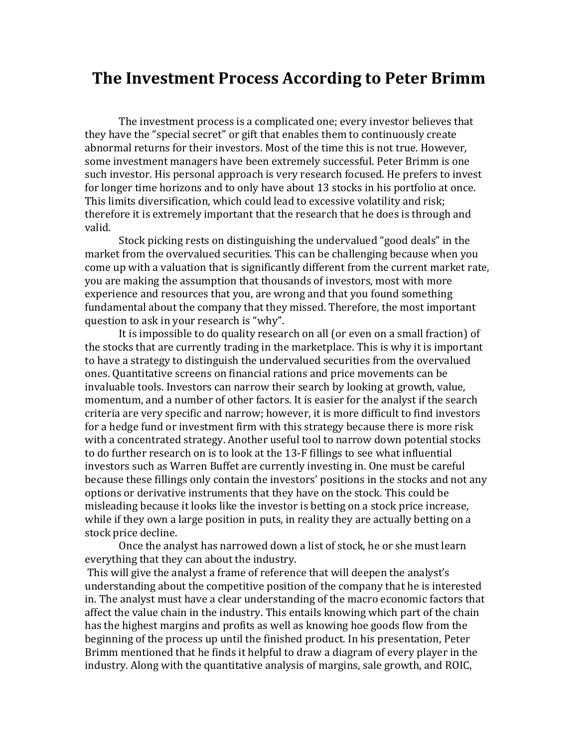# **The Investment Process According to Peter Brimm**

The investment process is a complicated one; every investor believes that they have the "special secret" or gift that enables them to continuously create abnormal returns for their investors. Most of the time this is not true. However, some investment managers have been extremely successful. Peter Brimm is one such investor. His personal approach is very research focused. He prefers to invest for longer time horizons and to only have about 13 stocks in his portfolio at once. This limits diversification, which could lead to excessive volatility and risk; therefore it is extremely important that the research that he does is through and valid.

Stock picking rests on distinguishing the undervalued "good deals" in the market from the overvalued securities. This can be challenging because when you come up with a valuation that is significantly different from the current market rate, you are making the assumption that thousands of investors, most with more experience and resources that you, are wrong and that you found something fundamental about the company that they missed. Therefore, the most important question to ask in your research is "why".

It is impossible to do quality research on all (or even on a small fraction) of the stocks that are currently trading in the marketplace. This is why it is important to have a strategy to distinguish the undervalued securities from the overvalued ones. Quantitative screens on financial rations and price movements can be invaluable tools. Investors can narrow their search by looking at growth, value, momentum, and a number of other factors. It is easier for the analyst if the search criteria are very specific and narrow; however, it is more difficult to find investors for a hedge fund or investment firm with this strategy because there is more risk with a concentrated strategy. Another useful tool to narrow down potential stocks to do further research on is to look at the 13-F fillings to see what influential investors such as Warren Buffet are currently investing in. One must be careful because these fillings only contain the investors' positions in the stocks and not any options or derivative instruments that they have on the stock. This could be misleading because it looks like the investor is betting on a stock price increase, while if they own a large position in puts, in reality they are actually betting on a stock price decline.

Once the analyst has narrowed down a list of stock, he or she must learn everything that they can about the industry.

This will give the analyst a frame of reference that will deepen the analyst's understanding about the competitive position of the company that he is interested in. The analyst must have a clear understanding of the macro economic factors that affect the value chain in the industry. This entails knowing which part of the chain has the highest margins and profits as well as knowing hoe goods flow from the beginning of the process up until the finished product. In his presentation, Peter Brimm mentioned that he finds it helpful to draw a diagram of every player in the industry. Along with the quantitative analysis of margins, sale growth, and ROIC,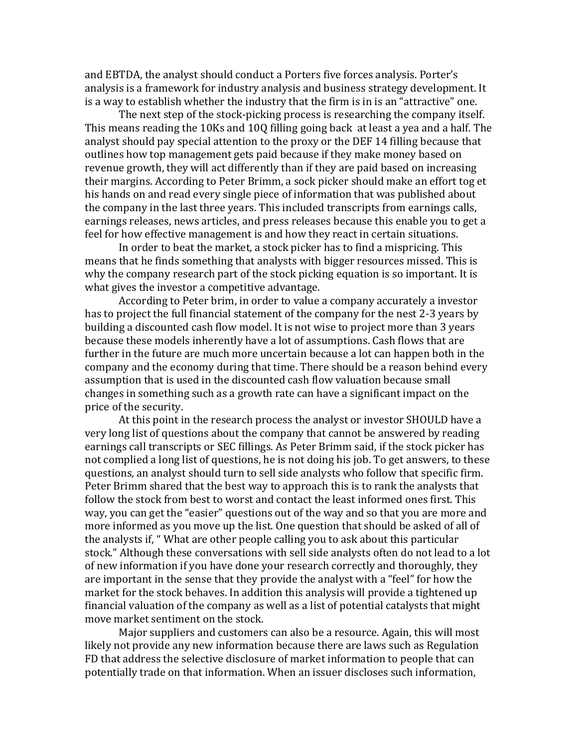and EBTDA, the analyst should conduct a Porters five forces analysis. Porter's analysis is a framework for industry analysis and business strategy development. It is a way to establish whether the industry that the firm is in is an "attractive" one.

The next step of the stock-picking process is researching the company itself. This means reading the 10Ks and 10Q filling going back at least a yea and a half. The analyst should pay special attention to the proxy or the DEF 14 filling because that outlines how top management gets paid because if they make money based on revenue growth, they will act differently than if they are paid based on increasing their margins. According to Peter Brimm, a sock picker should make an effort tog et his hands on and read every single piece of information that was published about the company in the last three years. This included transcripts from earnings calls, earnings releases, news articles, and press releases because this enable you to get a feel for how effective management is and how they react in certain situations.

In order to beat the market, a stock picker has to find a mispricing. This means that he finds something that analysts with bigger resources missed. This is why the company research part of the stock picking equation is so important. It is what gives the investor a competitive advantage.

According to Peter brim, in order to value a company accurately a investor has to project the full financial statement of the company for the nest 2-3 years by building a discounted cash flow model. It is not wise to project more than 3 years because these models inherently have a lot of assumptions. Cash flows that are further in the future are much more uncertain because a lot can happen both in the company and the economy during that time. There should be a reason behind every assumption that is used in the discounted cash flow valuation because small changes in something such as a growth rate can have a significant impact on the price of the security.

At this point in the research process the analyst or investor SHOULD have a very long list of questions about the company that cannot be answered by reading earnings call transcripts or SEC fillings. As Peter Brimm said, if the stock picker has not complied a long list of questions, he is not doing his job. To get answers, to these questions, an analyst should turn to sell side analysts who follow that specific firm. Peter Brimm shared that the best way to approach this is to rank the analysts that follow the stock from best to worst and contact the least informed ones first. This way, you can get the "easier" questions out of the way and so that you are more and more informed as you move up the list. One question that should be asked of all of the analysts if, " What are other people calling you to ask about this particular stock." Although these conversations with sell side analysts often do not lead to a lot of new information if you have done your research correctly and thoroughly, they are important in the sense that they provide the analyst with a "feel" for how the market for the stock behaves. In addition this analysis will provide a tightened up financial valuation of the company as well as a list of potential catalysts that might move market sentiment on the stock.

Major suppliers and customers can also be a resource. Again, this will most likely not provide any new information because there are laws such as Regulation FD that address the selective disclosure of market information to people that can potentially trade on that information. When an issuer discloses such information,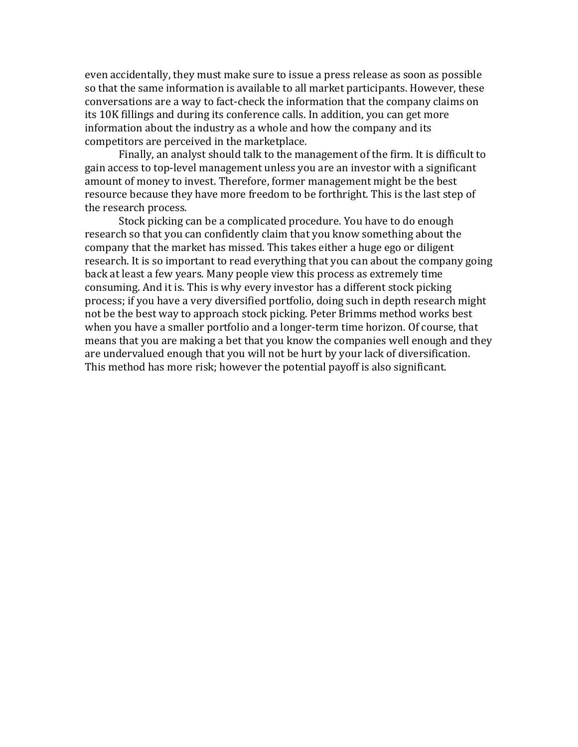even accidentally, they must make sure to issue a press release as soon as possible so that the same information is available to all market participants. However, these conversations are a way to fact-check the information that the company claims on its 10K fillings and during its conference calls. In addition, you can get more information about the industry as a whole and how the company and its competitors are perceived in the marketplace.

Finally, an analyst should talk to the management of the firm. It is difficult to gain access to top-level management unless you are an investor with a significant amount of money to invest. Therefore, former management might be the best resource because they have more freedom to be forthright. This is the last step of the research process.

Stock picking can be a complicated procedure. You have to do enough research so that you can confidently claim that you know something about the company that the market has missed. This takes either a huge ego or diligent research. It is so important to read everything that you can about the company going back at least a few years. Many people view this process as extremely time consuming. And it is. This is why every investor has a different stock picking process; if you have a very diversified portfolio, doing such in depth research might not be the best way to approach stock picking. Peter Brimms method works best when you have a smaller portfolio and a longer-term time horizon. Of course, that means that you are making a bet that you know the companies well enough and they are undervalued enough that you will not be hurt by your lack of diversification. This method has more risk; however the potential payoff is also significant.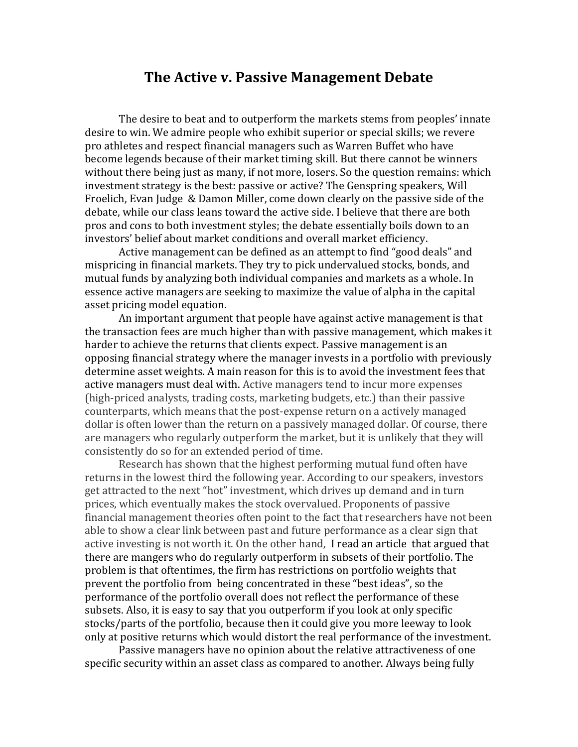## **The Active v. Passive Management Debate**

The desire to beat and to outperform the markets stems from peoples' innate desire to win. We admire people who exhibit superior or special skills; we revere pro athletes and respect financial managers such as Warren Buffet who have become legends because of their market timing skill. But there cannot be winners without there being just as many, if not more, losers. So the question remains: which investment strategy is the best: passive or active? The Genspring speakers, Will Froelich, Evan Judge & Damon Miller, come down clearly on the passive side of the debate, while our class leans toward the active side. I believe that there are both pros and cons to both investment styles; the debate essentially boils down to an investors' belief about market conditions and overall market efficiency.

Active management can be defined as an attempt to find "good deals" and mispricing in financial markets. They try to pick undervalued stocks, bonds, and mutual funds by analyzing both individual companies and markets as a whole. In essence active managers are seeking to maximize the value of alpha in the capital asset pricing model equation.

An important argument that people have against active management is that the transaction fees are much higher than with passive management, which makes it harder to achieve the returns that clients expect. Passive management is an opposing financial strategy where the manager invests in a portfolio with previously determine asset weights. A main reason for this is to avoid the investment fees that active managers must deal with. Active managers tend to incur more expenses (high-priced analysts, trading costs, marketing budgets, etc.) than their passive counterparts, which means that the post-expense return on a actively managed dollar is often lower than the return on a passively managed dollar. Of course, there are managers who regularly outperform the market, but it is unlikely that they will consistently do so for an extended period of time.

Research has shown that the highest performing mutual fund often have returns in the lowest third the following year. According to our speakers, investors get attracted to the next "hot" investment, which drives up demand and in turn prices, which eventually makes the stock overvalued. Proponents of passive financial management theories often point to the fact that researchers have not been able to show a clear link between past and future performance as a clear sign that active investing is not worth it. On the other hand, I read an article that argued that there are mangers who do regularly outperform in subsets of their portfolio. The problem is that oftentimes, the firm has restrictions on portfolio weights that prevent the portfolio from being concentrated in these "best ideas", so the performance of the portfolio overall does not reflect the performance of these subsets. Also, it is easy to say that you outperform if you look at only specific stocks/parts of the portfolio, because then it could give you more leeway to look only at positive returns which would distort the real performance of the investment.

Passive managers have no opinion about the relative attractiveness of one specific security within an asset class as compared to another. Always being fully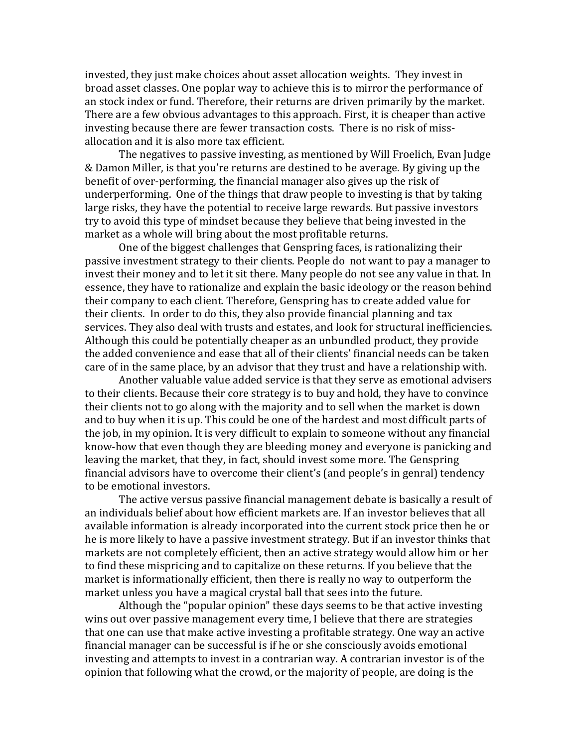invested, they just make choices about asset allocation weights. They invest in broad asset classes. One poplar way to achieve this is to mirror the performance of an stock index or fund. Therefore, their returns are driven primarily by the market. There are a few obvious advantages to this approach. First, it is cheaper than active investing because there are fewer transaction costs. There is no risk of missallocation and it is also more tax efficient.

The negatives to passive investing, as mentioned by Will Froelich, Evan Judge & Damon Miller, is that you're returns are destined to be average. By giving up the benefit of over-performing, the financial manager also gives up the risk of underperforming. One of the things that draw people to investing is that by taking large risks, they have the potential to receive large rewards. But passive investors try to avoid this type of mindset because they believe that being invested in the market as a whole will bring about the most profitable returns.

One of the biggest challenges that Genspring faces, is rationalizing their passive investment strategy to their clients. People do not want to pay a manager to invest their money and to let it sit there. Many people do not see any value in that. In essence, they have to rationalize and explain the basic ideology or the reason behind their company to each client. Therefore, Genspring has to create added value for their clients. In order to do this, they also provide financial planning and tax services. They also deal with trusts and estates, and look for structural inefficiencies. Although this could be potentially cheaper as an unbundled product, they provide the added convenience and ease that all of their clients' financial needs can be taken care of in the same place, by an advisor that they trust and have a relationship with.

Another valuable value added service is that they serve as emotional advisers to their clients. Because their core strategy is to buy and hold, they have to convince their clients not to go along with the majority and to sell when the market is down and to buy when it is up. This could be one of the hardest and most difficult parts of the job, in my opinion. It is very difficult to explain to someone without any financial know-how that even though they are bleeding money and everyone is panicking and leaving the market, that they, in fact, should invest some more. The Genspring financial advisors have to overcome their client's (and people's in genral) tendency to be emotional investors.

The active versus passive financial management debate is basically a result of an individuals belief about how efficient markets are. If an investor believes that all available information is already incorporated into the current stock price then he or he is more likely to have a passive investment strategy. But if an investor thinks that markets are not completely efficient, then an active strategy would allow him or her to find these mispricing and to capitalize on these returns. If you believe that the market is informationally efficient, then there is really no way to outperform the market unless you have a magical crystal ball that sees into the future.

Although the "popular opinion" these days seems to be that active investing wins out over passive management every time, I believe that there are strategies that one can use that make active investing a profitable strategy. One way an active financial manager can be successful is if he or she consciously avoids emotional investing and attempts to invest in a contrarian way. A contrarian investor is of the opinion that following what the crowd, or the majority of people, are doing is the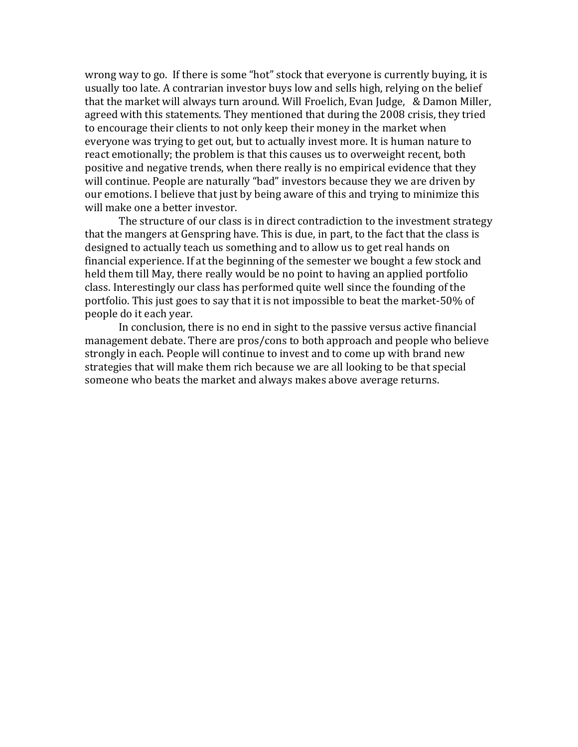wrong way to go. If there is some "hot" stock that everyone is currently buying, it is usually too late. A contrarian investor buys low and sells high, relying on the belief that the market will always turn around. Will Froelich, Evan Judge, & Damon Miller, agreed with this statements. They mentioned that during the 2008 crisis, they tried to encourage their clients to not only keep their money in the market when everyone was trying to get out, but to actually invest more. It is human nature to react emotionally; the problem is that this causes us to overweight recent, both positive and negative trends, when there really is no empirical evidence that they will continue. People are naturally "bad" investors because they we are driven by our emotions. I believe that just by being aware of this and trying to minimize this will make one a better investor.

The structure of our class is in direct contradiction to the investment strategy that the mangers at Genspring have. This is due, in part, to the fact that the class is designed to actually teach us something and to allow us to get real hands on financial experience. If at the beginning of the semester we bought a few stock and held them till May, there really would be no point to having an applied portfolio class. Interestingly our class has performed quite well since the founding of the portfolio. This just goes to say that it is not impossible to beat the market-50% of people do it each year.

In conclusion, there is no end in sight to the passive versus active financial management debate. There are pros/cons to both approach and people who believe strongly in each. People will continue to invest and to come up with brand new strategies that will make them rich because we are all looking to be that special someone who beats the market and always makes above average returns.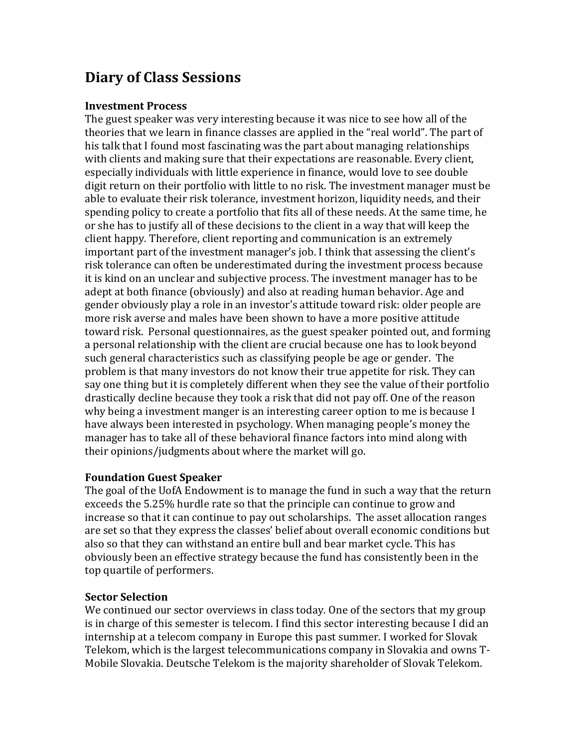# **Diary of Class Sessions**

#### **Investment Process**

The guest speaker was very interesting because it was nice to see how all of the theories that we learn in finance classes are applied in the "real world". The part of his talk that I found most fascinating was the part about managing relationships with clients and making sure that their expectations are reasonable. Every client, especially individuals with little experience in finance, would love to see double digit return on their portfolio with little to no risk. The investment manager must be able to evaluate their risk tolerance, investment horizon, liquidity needs, and their spending policy to create a portfolio that fits all of these needs. At the same time, he or she has to justify all of these decisions to the client in a way that will keep the client happy. Therefore, client reporting and communication is an extremely important part of the investment manager's job. I think that assessing the client's risk tolerance can often be underestimated during the investment process because it is kind on an unclear and subjective process. The investment manager has to be adept at both finance (obviously) and also at reading human behavior. Age and gender obviously play a role in an investor's attitude toward risk: older people are more risk averse and males have been shown to have a more positive attitude toward risk. Personal questionnaires, as the guest speaker pointed out, and forming a personal relationship with the client are crucial because one has to look beyond such general characteristics such as classifying people be age or gender. The problem is that many investors do not know their true appetite for risk. They can say one thing but it is completely different when they see the value of their portfolio drastically decline because they took a risk that did not pay off. One of the reason why being a investment manger is an interesting career option to me is because I have always been interested in psychology. When managing people's money the manager has to take all of these behavioral finance factors into mind along with their opinions/judgments about where the market will go.

## **Foundation Guest Speaker**

The goal of the UofA Endowment is to manage the fund in such a way that the return exceeds the 5.25% hurdle rate so that the principle can continue to grow and increase so that it can continue to pay out scholarships. The asset allocation ranges are set so that they express the classes' belief about overall economic conditions but also so that they can withstand an entire bull and bear market cycle. This has obviously been an effective strategy because the fund has consistently been in the top quartile of performers.

## **Sector Selection**

We continued our sector overviews in class today. One of the sectors that my group is in charge of this semester is telecom. I find this sector interesting because I did an internship at a telecom company in Europe this past summer. I worked for Slovak Telekom, which is the largest telecommunications company in Slovakia and owns T-Mobile Slovakia. Deutsche Telekom is the majority shareholder of Slovak Telekom.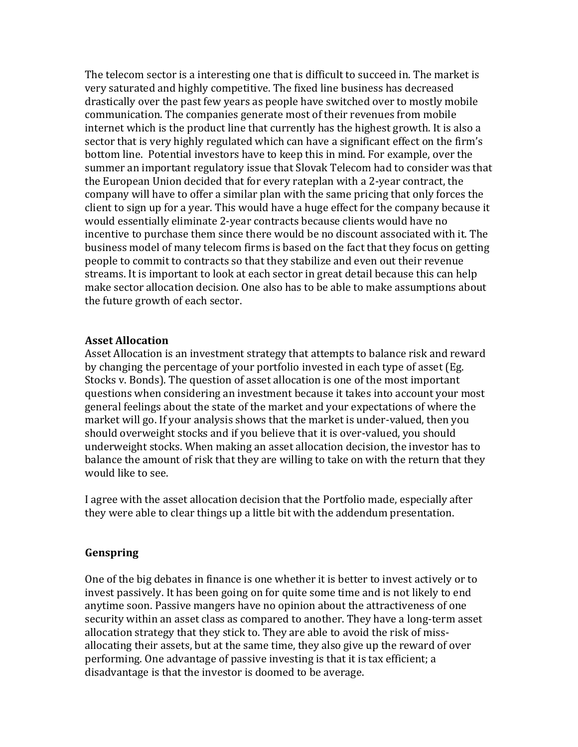The telecom sector is a interesting one that is difficult to succeed in. The market is very saturated and highly competitive. The fixed line business has decreased drastically over the past few years as people have switched over to mostly mobile communication. The companies generate most of their revenues from mobile internet which is the product line that currently has the highest growth. It is also a sector that is very highly regulated which can have a significant effect on the firm's bottom line. Potential investors have to keep this in mind. For example, over the summer an important regulatory issue that Slovak Telecom had to consider was that the European Union decided that for every rateplan with a 2-year contract, the company will have to offer a similar plan with the same pricing that only forces the client to sign up for a year. This would have a huge effect for the company because it would essentially eliminate 2-year contracts because clients would have no incentive to purchase them since there would be no discount associated with it. The business model of many telecom firms is based on the fact that they focus on getting people to commit to contracts so that they stabilize and even out their revenue streams. It is important to look at each sector in great detail because this can help make sector allocation decision. One also has to be able to make assumptions about the future growth of each sector.

#### **Asset Allocation**

Asset Allocation is an investment strategy that attempts to balance risk and reward by changing the percentage of your portfolio invested in each type of asset (Eg. Stocks v. Bonds). The question of asset allocation is one of the most important questions when considering an investment because it takes into account your most general feelings about the state of the market and your expectations of where the market will go. If your analysis shows that the market is under-valued, then you should overweight stocks and if you believe that it is over-valued, you should underweight stocks. When making an asset allocation decision, the investor has to balance the amount of risk that they are willing to take on with the return that they would like to see.

I agree with the asset allocation decision that the Portfolio made, especially after they were able to clear things up a little bit with the addendum presentation.

#### **Genspring**

One of the big debates in finance is one whether it is better to invest actively or to invest passively. It has been going on for quite some time and is not likely to end anytime soon. Passive mangers have no opinion about the attractiveness of one security within an asset class as compared to another. They have a long-term asset allocation strategy that they stick to. They are able to avoid the risk of missallocating their assets, but at the same time, they also give up the reward of over performing. One advantage of passive investing is that it is tax efficient; a disadvantage is that the investor is doomed to be average.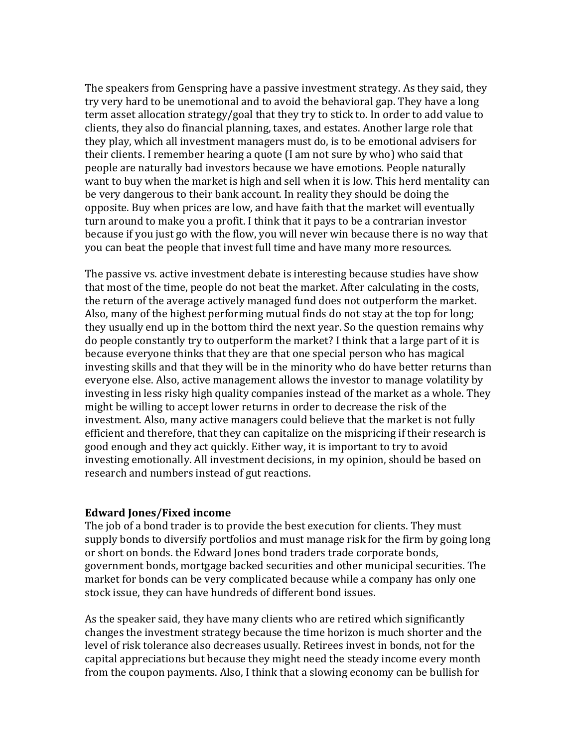The speakers from Genspring have a passive investment strategy. As they said, they try very hard to be unemotional and to avoid the behavioral gap. They have a long term asset allocation strategy/goal that they try to stick to. In order to add value to clients, they also do financial planning, taxes, and estates. Another large role that they play, which all investment managers must do, is to be emotional advisers for their clients. I remember hearing a quote (I am not sure by who) who said that people are naturally bad investors because we have emotions. People naturally want to buy when the market is high and sell when it is low. This herd mentality can be very dangerous to their bank account. In reality they should be doing the opposite. Buy when prices are low, and have faith that the market will eventually turn around to make you a profit. I think that it pays to be a contrarian investor because if you just go with the flow, you will never win because there is no way that you can beat the people that invest full time and have many more resources.

The passive vs. active investment debate is interesting because studies have show that most of the time, people do not beat the market. After calculating in the costs, the return of the average actively managed fund does not outperform the market. Also, many of the highest performing mutual finds do not stay at the top for long; they usually end up in the bottom third the next year. So the question remains why do people constantly try to outperform the market? I think that a large part of it is because everyone thinks that they are that one special person who has magical investing skills and that they will be in the minority who do have better returns than everyone else. Also, active management allows the investor to manage volatility by investing in less risky high quality companies instead of the market as a whole. They might be willing to accept lower returns in order to decrease the risk of the investment. Also, many active managers could believe that the market is not fully efficient and therefore, that they can capitalize on the mispricing if their research is good enough and they act quickly. Either way, it is important to try to avoid investing emotionally. All investment decisions, in my opinion, should be based on research and numbers instead of gut reactions.

#### **Edward Jones/Fixed income**

The job of a bond trader is to provide the best execution for clients. They must supply bonds to diversify portfolios and must manage risk for the firm by going long or short on bonds. the Edward Jones bond traders trade corporate bonds, government bonds, mortgage backed securities and other municipal securities. The market for bonds can be very complicated because while a company has only one stock issue, they can have hundreds of different bond issues.

As the speaker said, they have many clients who are retired which significantly changes the investment strategy because the time horizon is much shorter and the level of risk tolerance also decreases usually. Retirees invest in bonds, not for the capital appreciations but because they might need the steady income every month from the coupon payments. Also, I think that a slowing economy can be bullish for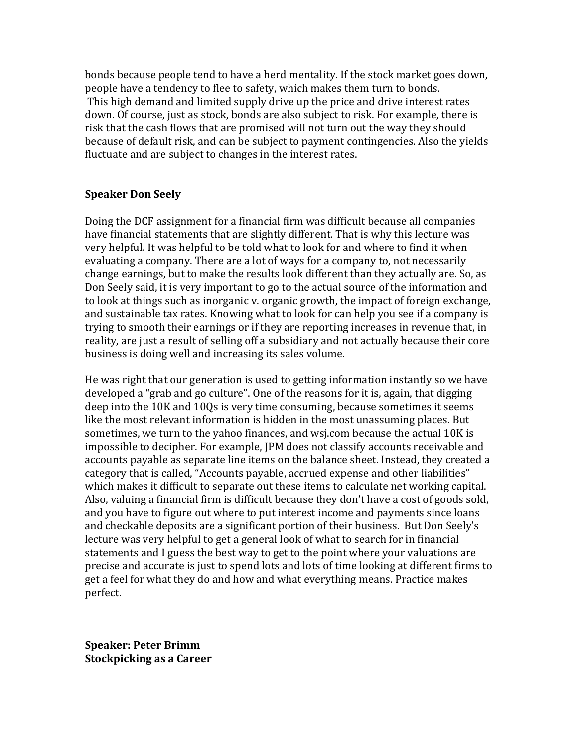bonds because people tend to have a herd mentality. If the stock market goes down, people have a tendency to flee to safety, which makes them turn to bonds. This high demand and limited supply drive up the price and drive interest rates down. Of course, just as stock, bonds are also subject to risk. For example, there is risk that the cash flows that are promised will not turn out the way they should because of default risk, and can be subject to payment contingencies. Also the yields fluctuate and are subject to changes in the interest rates.

#### **Speaker Don Seely**

Doing the DCF assignment for a financial firm was difficult because all companies have financial statements that are slightly different. That is why this lecture was very helpful. It was helpful to be told what to look for and where to find it when evaluating a company. There are a lot of ways for a company to, not necessarily change earnings, but to make the results look different than they actually are. So, as Don Seely said, it is very important to go to the actual source of the information and to look at things such as inorganic v. organic growth, the impact of foreign exchange, and sustainable tax rates. Knowing what to look for can help you see if a company is trying to smooth their earnings or if they are reporting increases in revenue that, in reality, are just a result of selling off a subsidiary and not actually because their core business is doing well and increasing its sales volume.

He was right that our generation is used to getting information instantly so we have developed a "grab and go culture". One of the reasons for it is, again, that digging deep into the 10K and 10Qs is very time consuming, because sometimes it seems like the most relevant information is hidden in the most unassuming places. But sometimes, we turn to the yahoo finances, and wsj.com because the actual 10K is impossible to decipher. For example, JPM does not classify accounts receivable and accounts payable as separate line items on the balance sheet. Instead, they created a category that is called, "Accounts payable, accrued expense and other liabilities" which makes it difficult to separate out these items to calculate net working capital. Also, valuing a financial firm is difficult because they don't have a cost of goods sold, and you have to figure out where to put interest income and payments since loans and checkable deposits are a significant portion of their business. But Don Seely's lecture was very helpful to get a general look of what to search for in financial statements and I guess the best way to get to the point where your valuations are precise and accurate is just to spend lots and lots of time looking at different firms to get a feel for what they do and how and what everything means. Practice makes perfect.

**Speaker: Peter Brimm Stockpicking as a Career**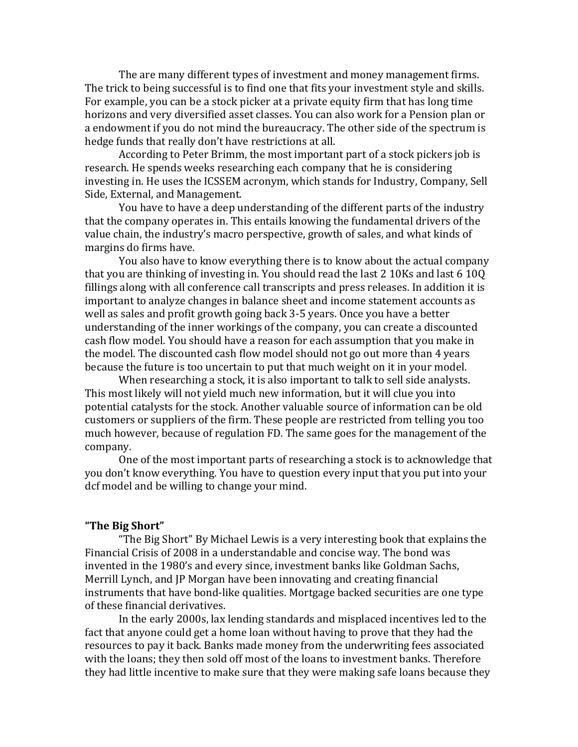The are many different types of investment and money management firms. The trick to being successful is to find one that fits your investment style and skills. For example, you can be a stock picker at a private equity firm that has long time horizons and very diversified asset classes. You can also work for a Pension plan or a endowment if you do not mind the bureaucracy. The other side of the spectrum is hedge funds that really don't have restrictions at all.

According to Peter Brimm, the most important part of a stock pickers job is research. He spends weeks researching each company that he is considering investing in. He uses the ICSSEM acronym, which stands for Industry, Company, Sell Side, External, and Management.

You have to have a deep understanding of the different parts of the industry that the company operates in. This entails knowing the fundamental drivers of the value chain, the industry's macro perspective, growth of sales, and what kinds of margins do firms have.

You also have to know everything there is to know about the actual company that you are thinking of investing in. You should read the last 2 10Ks and last 6 10Q fillings along with all conference call transcripts and press releases. In addition it is important to analyze changes in balance sheet and income statement accounts as well as sales and profit growth going back 3-5 years. Once you have a better understanding of the inner workings of the company, you can create a discounted cash flow model. You should have a reason for each assumption that you make in the model. The discounted cash flow model should not go out more than 4 years because the future is too uncertain to put that much weight on it in your model.

When researching a stock, it is also important to talk to sell side analysts. This most likely will not yield much new information, but it will clue you into potential catalysts for the stock. Another valuable source of information can be old customers or suppliers of the firm. These people are restricted from telling you too much however, because of regulation FD. The same goes for the management of the company.

One of the most important parts of researching a stock is to acknowledge that you don't know everything. You have to question every input that you put into your dcf model and be willing to change your mind.

#### **"The Big Short"**

"The Big Short" By Michael Lewis is a very interesting book that explains the Financial Crisis of 2008 in a understandable and concise way. The bond was invented in the 1980's and every since, investment banks like Goldman Sachs, Merrill Lynch, and JP Morgan have been innovating and creating financial instruments that have bond-like qualities. Mortgage backed securities are one type of these financial derivatives.

In the early 2000s, lax lending standards and misplaced incentives led to the fact that anyone could get a home loan without having to prove that they had the resources to pay it back. Banks made money from the underwriting fees associated with the loans; they then sold off most of the loans to investment banks. Therefore they had little incentive to make sure that they were making safe loans because they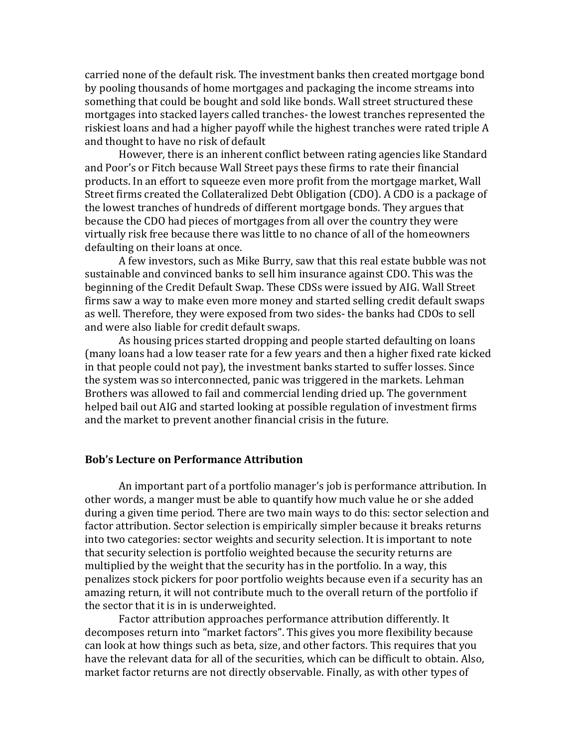carried none of the default risk. The investment banks then created mortgage bond by pooling thousands of home mortgages and packaging the income streams into something that could be bought and sold like bonds. Wall street structured these mortgages into stacked layers called tranches- the lowest tranches represented the riskiest loans and had a higher payoff while the highest tranches were rated triple A and thought to have no risk of default

However, there is an inherent conflict between rating agencies like Standard and Poor's or Fitch because Wall Street pays these firms to rate their financial products. In an effort to squeeze even more profit from the mortgage market, Wall Street firms created the Collateralized Debt Obligation (CDO). A CDO is a package of the lowest tranches of hundreds of different mortgage bonds. They argues that because the CDO had pieces of mortgages from all over the country they were virtually risk free because there was little to no chance of all of the homeowners defaulting on their loans at once.

A few investors, such as Mike Burry, saw that this real estate bubble was not sustainable and convinced banks to sell him insurance against CDO. This was the beginning of the Credit Default Swap. These CDSs were issued by AIG. Wall Street firms saw a way to make even more money and started selling credit default swaps as well. Therefore, they were exposed from two sides- the banks had CDOs to sell and were also liable for credit default swaps.

As housing prices started dropping and people started defaulting on loans (many loans had a low teaser rate for a few years and then a higher fixed rate kicked in that people could not pay), the investment banks started to suffer losses. Since the system was so interconnected, panic was triggered in the markets. Lehman Brothers was allowed to fail and commercial lending dried up. The government helped bail out AIG and started looking at possible regulation of investment firms and the market to prevent another financial crisis in the future.

#### **Bob's Lecture on Performance Attribution**

An important part of a portfolio manager's job is performance attribution. In other words, a manger must be able to quantify how much value he or she added during a given time period. There are two main ways to do this: sector selection and factor attribution. Sector selection is empirically simpler because it breaks returns into two categories: sector weights and security selection. It is important to note that security selection is portfolio weighted because the security returns are multiplied by the weight that the security has in the portfolio. In a way, this penalizes stock pickers for poor portfolio weights because even if a security has an amazing return, it will not contribute much to the overall return of the portfolio if the sector that it is in is underweighted.

Factor attribution approaches performance attribution differently. It decomposes return into "market factors". This gives you more flexibility because can look at how things such as beta, size, and other factors. This requires that you have the relevant data for all of the securities, which can be difficult to obtain. Also, market factor returns are not directly observable. Finally, as with other types of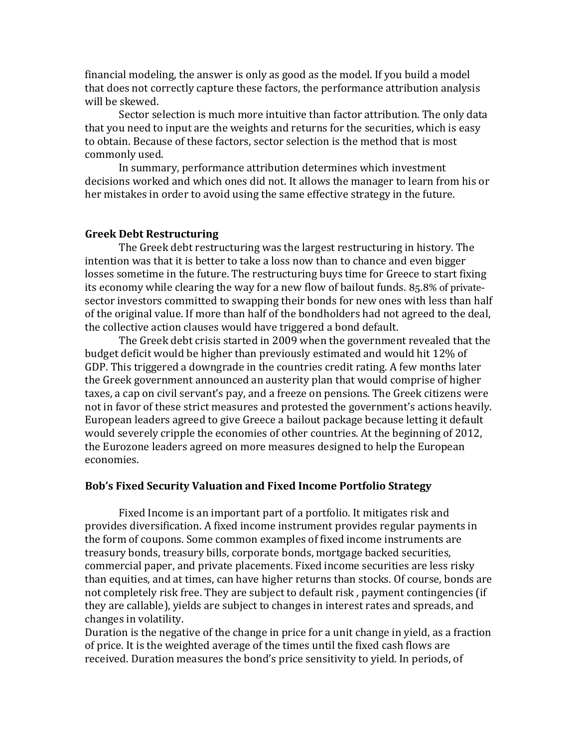financial modeling, the answer is only as good as the model. If you build a model that does not correctly capture these factors, the performance attribution analysis will be skewed.

Sector selection is much more intuitive than factor attribution. The only data that you need to input are the weights and returns for the securities, which is easy to obtain. Because of these factors, sector selection is the method that is most commonly used.

In summary, performance attribution determines which investment decisions worked and which ones did not. It allows the manager to learn from his or her mistakes in order to avoid using the same effective strategy in the future.

#### **Greek Debt Restructuring**

The Greek debt restructuring was the largest restructuring in history. The intention was that it is better to take a loss now than to chance and even bigger losses sometime in the future. The restructuring buys time for Greece to start fixing its economy while clearing the way for a new flow of bailout funds. 85.8% of privatesector investors committed to swapping their bonds for new ones with less than half of the original value. If more than half of the bondholders had not agreed to the deal, the collective action clauses would have triggered a bond default.

The Greek debt crisis started in 2009 when the government revealed that the budget deficit would be higher than previously estimated and would hit 12% of GDP. This triggered a downgrade in the countries credit rating. A few months later the Greek government announced an austerity plan that would comprise of higher taxes, a cap on civil servant's pay, and a freeze on pensions. The Greek citizens were not in favor of these strict measures and protested the government's actions heavily. European leaders agreed to give Greece a bailout package because letting it default would severely cripple the economies of other countries. At the beginning of 2012, the Eurozone leaders agreed on more measures designed to help the European economies.

#### **Bob's Fixed Security Valuation and Fixed Income Portfolio Strategy**

Fixed Income is an important part of a portfolio. It mitigates risk and provides diversification. A fixed income instrument provides regular payments in the form of coupons. Some common examples of fixed income instruments are treasury bonds, treasury bills, corporate bonds, mortgage backed securities, commercial paper, and private placements. Fixed income securities are less risky than equities, and at times, can have higher returns than stocks. Of course, bonds are not completely risk free. They are subject to default risk , payment contingencies (if they are callable), yields are subject to changes in interest rates and spreads, and changes in volatility.

Duration is the negative of the change in price for a unit change in yield, as a fraction of price. It is the weighted average of the times until the fixed cash flows are received. Duration measures the bond's price sensitivity to yield. In periods, of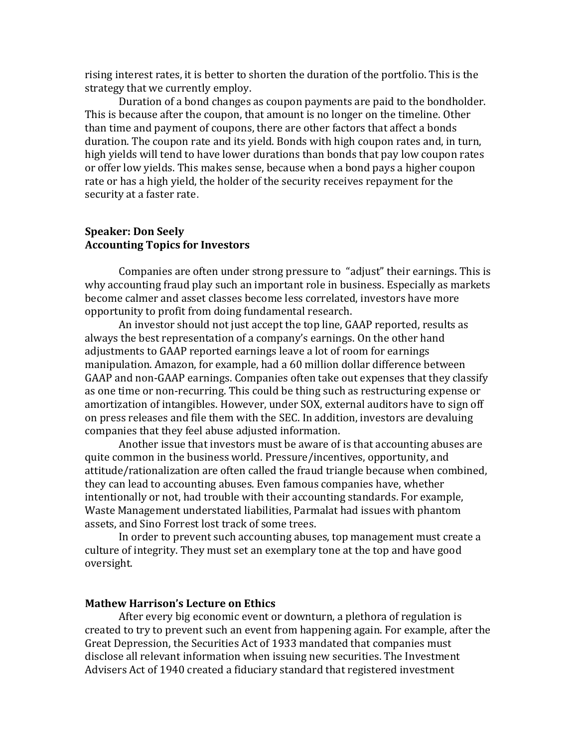rising interest rates, it is better to shorten the duration of the portfolio. This is the strategy that we currently employ.

Duration of a bond changes as coupon payments are paid to the bondholder. This is because after the coupon, that amount is no longer on the timeline. Other than time and payment of coupons, there are other factors that affect a bonds duration. The coupon rate and its yield. Bonds with high coupon rates and, in turn, high yields will tend to have lower durations than bonds that pay low coupon rates or offer low yields. This makes sense, because when a bond pays a higher coupon rate or has a high yield, the holder of the security receives repayment for the security at a faster rate.

#### **Speaker: Don Seely Accounting Topics for Investors**

Companies are often under strong pressure to "adjust" their earnings. This is why accounting fraud play such an important role in business. Especially as markets become calmer and asset classes become less correlated, investors have more opportunity to profit from doing fundamental research.

An investor should not just accept the top line, GAAP reported, results as always the best representation of a company's earnings. On the other hand adjustments to GAAP reported earnings leave a lot of room for earnings manipulation. Amazon, for example, had a 60 million dollar difference between GAAP and non-GAAP earnings. Companies often take out expenses that they classify as one time or non-recurring. This could be thing such as restructuring expense or amortization of intangibles. However, under SOX, external auditors have to sign off on press releases and file them with the SEC. In addition, investors are devaluing companies that they feel abuse adjusted information.

Another issue that investors must be aware of is that accounting abuses are quite common in the business world. Pressure/incentives, opportunity, and attitude/rationalization are often called the fraud triangle because when combined, they can lead to accounting abuses. Even famous companies have, whether intentionally or not, had trouble with their accounting standards. For example, Waste Management understated liabilities, Parmalat had issues with phantom assets, and Sino Forrest lost track of some trees.

In order to prevent such accounting abuses, top management must create a culture of integrity. They must set an exemplary tone at the top and have good oversight.

#### **Mathew Harrison's Lecture on Ethics**

After every big economic event or downturn, a plethora of regulation is created to try to prevent such an event from happening again. For example, after the Great Depression, the Securities Act of 1933 mandated that companies must disclose all relevant information when issuing new securities. The Investment Advisers Act of 1940 created a fiduciary standard that registered investment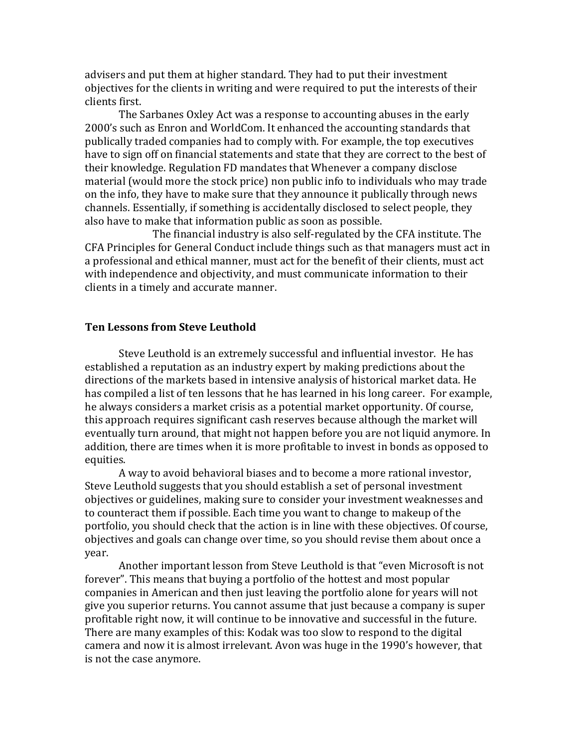advisers and put them at higher standard. They had to put their investment objectives for the clients in writing and were required to put the interests of their clients first.

The Sarbanes Oxley Act was a response to accounting abuses in the early 2000's such as Enron and WorldCom. It enhanced the accounting standards that publically traded companies had to comply with. For example, the top executives have to sign off on financial statements and state that they are correct to the best of their knowledge. Regulation FD mandates that Whenever a company disclose material (would more the stock price) non public info to individuals who may trade on the info, they have to make sure that they announce it publically through news channels. Essentially, if something is accidentally disclosed to select people, they also have to make that information public as soon as possible.

The financial industry is also self-regulated by the CFA institute. The CFA Principles for General Conduct include things such as that managers must act in a professional and ethical manner, must act for the benefit of their clients, must act with independence and objectivity, and must communicate information to their clients in a timely and accurate manner.

#### **Ten Lessons from Steve Leuthold**

Steve Leuthold is an extremely successful and influential investor. He has established a reputation as an industry expert by making predictions about the directions of the markets based in intensive analysis of historical market data. He has compiled a list of ten lessons that he has learned in his long career. For example, he always considers a market crisis as a potential market opportunity. Of course, this approach requires significant cash reserves because although the market will eventually turn around, that might not happen before you are not liquid anymore. In addition, there are times when it is more profitable to invest in bonds as opposed to equities.

A way to avoid behavioral biases and to become a more rational investor, Steve Leuthold suggests that you should establish a set of personal investment objectives or guidelines, making sure to consider your investment weaknesses and to counteract them if possible. Each time you want to change to makeup of the portfolio, you should check that the action is in line with these objectives. Of course, objectives and goals can change over time, so you should revise them about once a year.

Another important lesson from Steve Leuthold is that "even Microsoft is not forever". This means that buying a portfolio of the hottest and most popular companies in American and then just leaving the portfolio alone for years will not give you superior returns. You cannot assume that just because a company is super profitable right now, it will continue to be innovative and successful in the future. There are many examples of this: Kodak was too slow to respond to the digital camera and now it is almost irrelevant. Avon was huge in the 1990's however, that is not the case anymore.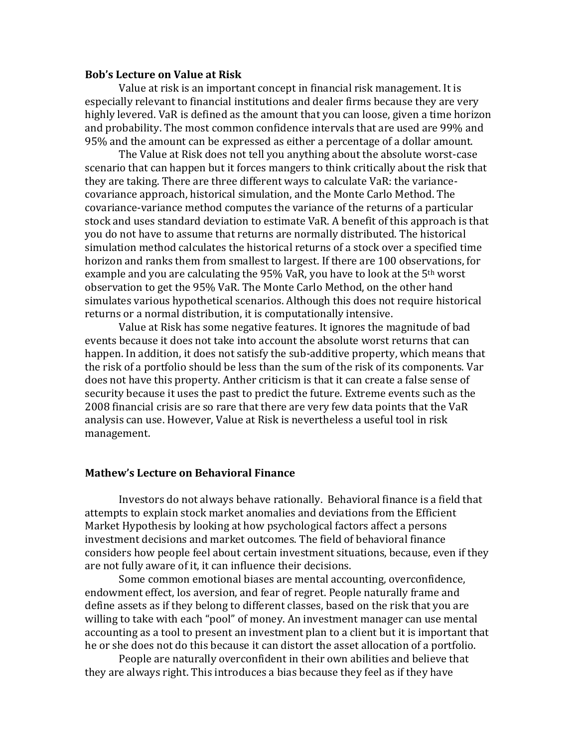#### **Bob's Lecture on Value at Risk**

Value at risk is an important concept in financial risk management. It is especially relevant to financial institutions and dealer firms because they are very highly levered. VaR is defined as the amount that you can loose, given a time horizon and probability. The most common confidence intervals that are used are 99% and 95% and the amount can be expressed as either a percentage of a dollar amount.

The Value at Risk does not tell you anything about the absolute worst-case scenario that can happen but it forces mangers to think critically about the risk that they are taking. There are three different ways to calculate VaR: the variancecovariance approach, historical simulation, and the Monte Carlo Method. The covariance-variance method computes the variance of the returns of a particular stock and uses standard deviation to estimate VaR. A benefit of this approach is that you do not have to assume that returns are normally distributed. The historical simulation method calculates the historical returns of a stock over a specified time horizon and ranks them from smallest to largest. If there are 100 observations, for example and you are calculating the 95% VaR, you have to look at the 5<sup>th</sup> worst observation to get the 95% VaR. The Monte Carlo Method, on the other hand simulates various hypothetical scenarios. Although this does not require historical returns or a normal distribution, it is computationally intensive.

Value at Risk has some negative features. It ignores the magnitude of bad events because it does not take into account the absolute worst returns that can happen. In addition, it does not satisfy the sub-additive property, which means that the risk of a portfolio should be less than the sum of the risk of its components. Var does not have this property. Anther criticism is that it can create a false sense of security because it uses the past to predict the future. Extreme events such as the 2008 financial crisis are so rare that there are very few data points that the VaR analysis can use. However, Value at Risk is nevertheless a useful tool in risk management.

#### **Mathew's Lecture on Behavioral Finance**

Investors do not always behave rationally. Behavioral finance is a field that attempts to explain stock market anomalies and deviations from the Efficient Market Hypothesis by looking at how psychological factors affect a persons investment decisions and market outcomes. The field of behavioral finance considers how people feel about certain investment situations, because, even if they are not fully aware of it, it can influence their decisions.

Some common emotional biases are mental accounting, overconfidence, endowment effect, los aversion, and fear of regret. People naturally frame and define assets as if they belong to different classes, based on the risk that you are willing to take with each "pool" of money. An investment manager can use mental accounting as a tool to present an investment plan to a client but it is important that he or she does not do this because it can distort the asset allocation of a portfolio.

People are naturally overconfident in their own abilities and believe that they are always right. This introduces a bias because they feel as if they have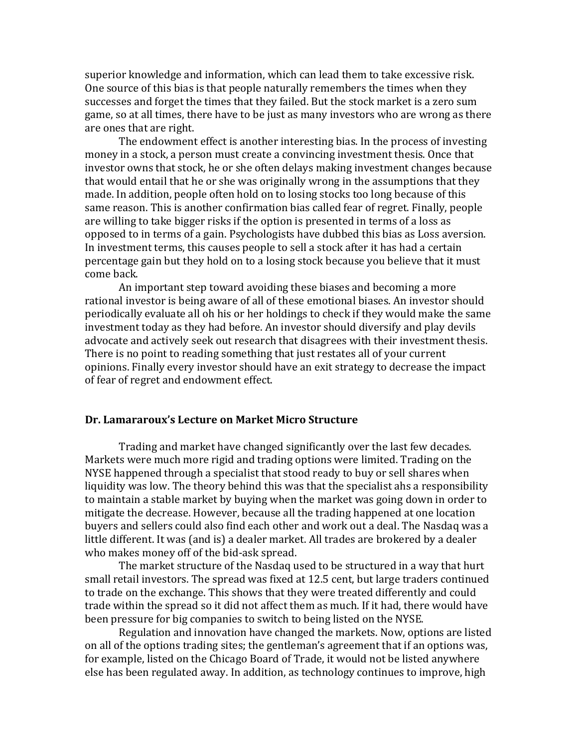superior knowledge and information, which can lead them to take excessive risk. One source of this bias is that people naturally remembers the times when they successes and forget the times that they failed. But the stock market is a zero sum game, so at all times, there have to be just as many investors who are wrong as there are ones that are right.

The endowment effect is another interesting bias. In the process of investing money in a stock, a person must create a convincing investment thesis. Once that investor owns that stock, he or she often delays making investment changes because that would entail that he or she was originally wrong in the assumptions that they made. In addition, people often hold on to losing stocks too long because of this same reason. This is another confirmation bias called fear of regret. Finally, people are willing to take bigger risks if the option is presented in terms of a loss as opposed to in terms of a gain. Psychologists have dubbed this bias as Loss aversion. In investment terms, this causes people to sell a stock after it has had a certain percentage gain but they hold on to a losing stock because you believe that it must come back.

An important step toward avoiding these biases and becoming a more rational investor is being aware of all of these emotional biases. An investor should periodically evaluate all oh his or her holdings to check if they would make the same investment today as they had before. An investor should diversify and play devils advocate and actively seek out research that disagrees with their investment thesis. There is no point to reading something that just restates all of your current opinions. Finally every investor should have an exit strategy to decrease the impact of fear of regret and endowment effect.

#### **Dr. Lamararoux's Lecture on Market Micro Structure**

Trading and market have changed significantly over the last few decades. Markets were much more rigid and trading options were limited. Trading on the NYSE happened through a specialist that stood ready to buy or sell shares when liquidity was low. The theory behind this was that the specialist ahs a responsibility to maintain a stable market by buying when the market was going down in order to mitigate the decrease. However, because all the trading happened at one location buyers and sellers could also find each other and work out a deal. The Nasdaq was a little different. It was (and is) a dealer market. All trades are brokered by a dealer who makes money off of the bid-ask spread.

The market structure of the Nasdaq used to be structured in a way that hurt small retail investors. The spread was fixed at 12.5 cent, but large traders continued to trade on the exchange. This shows that they were treated differently and could trade within the spread so it did not affect them as much. If it had, there would have been pressure for big companies to switch to being listed on the NYSE.

Regulation and innovation have changed the markets. Now, options are listed on all of the options trading sites; the gentleman's agreement that if an options was, for example, listed on the Chicago Board of Trade, it would not be listed anywhere else has been regulated away. In addition, as technology continues to improve, high